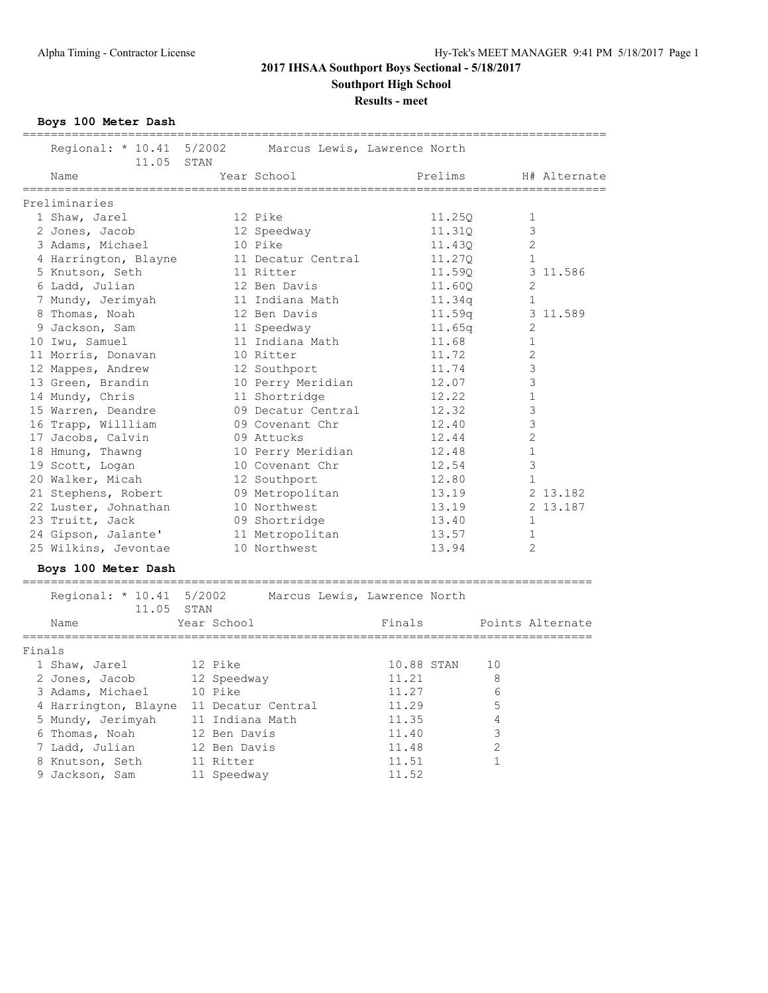**Results - meet**

**Boys 100 Meter Dash**

|        | Regional: * 10.41 5/2002 Marcus Lewis, Lawrence North<br>11.05 STAN |                 |                              |            |         |    |              |                  |
|--------|---------------------------------------------------------------------|-----------------|------------------------------|------------|---------|----|--------------|------------------|
|        | Name                                                                |                 | Year School                  |            | Prelims |    |              | H# Alternate     |
|        | Preliminaries                                                       |                 |                              |            |         |    |              |                  |
|        | 1 Shaw, Jarel                                                       |                 | 12 Pike                      |            | 11.25Q  |    | 1            |                  |
|        | 2 Jones, Jacob                                                      |                 | 12 Speedway                  |            | 11.31Q  |    | 3            |                  |
|        | 3 Adams, Michael                                                    |                 | 10 Pike                      |            | 11.43Q  |    | 2            |                  |
|        | 4 Harrington, Blayne                                                |                 | 11 Decatur Central           |            | 11.270  |    | 1            |                  |
|        | 5 Knutson, Seth                                                     |                 | 11 Ritter                    |            | 11.59Q  |    |              | 3 11.586         |
|        | 6 Ladd, Julian                                                      |                 | 12 Ben Davis                 |            | 11.60Q  |    | 2            |                  |
|        | 7 Mundy, Jerimyah                                                   |                 | 11 Indiana Math              |            | 11.34q  |    | 1            |                  |
|        | 8 Thomas, Noah                                                      |                 | 12 Ben Davis                 |            | 11.59q  |    |              | 3 11.589         |
|        | 9 Jackson, Sam                                                      |                 | 11 Speedway                  |            | 11.65q  |    | 2            |                  |
|        | 10 Iwu, Samuel                                                      |                 | 11 Indiana Math              |            | 11.68   |    | 1            |                  |
|        | 11 Morris, Donavan                                                  |                 | 10 Ritter                    |            | 11.72   |    | 2            |                  |
|        | 12 Mappes, Andrew                                                   |                 | 12 Southport                 |            | 11.74   |    | 3            |                  |
|        | 13 Green, Brandin                                                   |                 | 10 Perry Meridian            |            | 12.07   |    | 3            |                  |
|        | 14 Mundy, Chris                                                     |                 | 11 Shortridge                |            | 12.22   |    | $\mathbf 1$  |                  |
|        | 15 Warren, Deandre                                                  |                 | 09 Decatur Central           |            | 12.32   |    | 3            |                  |
|        | 16 Trapp, Willliam                                                  |                 | 09 Covenant Chr              |            | 12.40   |    | 3            |                  |
|        | 17 Jacobs, Calvin                                                   |                 | 09 Attucks                   |            | 12.44   |    | 2            |                  |
|        | 18 Hmung, Thawng                                                    |                 | 10 Perry Meridian            |            | 12.48   |    | $\mathbf{1}$ |                  |
|        | 19 Scott, Logan                                                     |                 | 10 Covenant Chr              |            | 12.54   |    | 3            |                  |
|        | 20 Walker, Micah                                                    |                 | 12 Southport                 |            | 12.80   |    | 1            |                  |
|        | 21 Stephens, Robert                                                 |                 | 09 Metropolitan              |            | 13.19   |    |              | 2 13.182         |
|        | 22 Luster, Johnathan                                                |                 | 10 Northwest                 |            | 13.19   |    |              | 2 13.187         |
|        | 23 Truitt, Jack                                                     |                 | 09 Shortridge                |            | 13.40   |    | 1            |                  |
|        | 24 Gipson, Jalante'                                                 |                 | 11 Metropolitan              |            | 13.57   |    | 1            |                  |
|        | 25 Wilkins, Jevontae                                                |                 | 10 Northwest                 |            | 13.94   |    | 2            |                  |
|        | Boys 100 Meter Dash                                                 |                 |                              |            |         |    |              |                  |
|        | Regional: * 10.41 5/2002                                            |                 | Marcus Lewis, Lawrence North |            |         |    |              |                  |
|        | 11.05 STAN                                                          |                 |                              |            |         |    |              |                  |
|        | Name                                                                | Year School     |                              | Finals     |         |    |              | Points Alternate |
|        |                                                                     |                 |                              |            |         |    |              |                  |
| Finals |                                                                     |                 |                              |            |         |    |              |                  |
|        | 1 Shaw, Jarel                                                       | 12 Pike         |                              | 10.88 STAN |         | 10 |              |                  |
|        | 2 Jones, Jacob                                                      | 12 Speedway     |                              | 11.21      |         | 8  |              |                  |
|        | 3 Adams, Michael                                                    | 10 Pike         |                              | 11.27      |         | 6  |              |                  |
|        | 4 Harrington, Blayne 11 Decatur Central                             |                 |                              | 11.29      |         | 5  |              |                  |
|        | 5 Mundy, Jerimyah                                                   | 11 Indiana Math |                              | 11.35      |         | 4  |              |                  |
|        | 6 Thomas, Noah                                                      | 12 Ben Davis    |                              | 11.40      |         | 3  |              |                  |
|        | 7 Ladd, Julian                                                      | 12 Ben Davis    |                              | 11.48      |         | 2  |              |                  |
|        | 8 Knutson, Seth                                                     | 11 Ritter       |                              | 11.51      |         | 1  |              |                  |
|        | 9 Jackson, Sam                                                      | 11 Speedway     |                              | 11.52      |         |    |              |                  |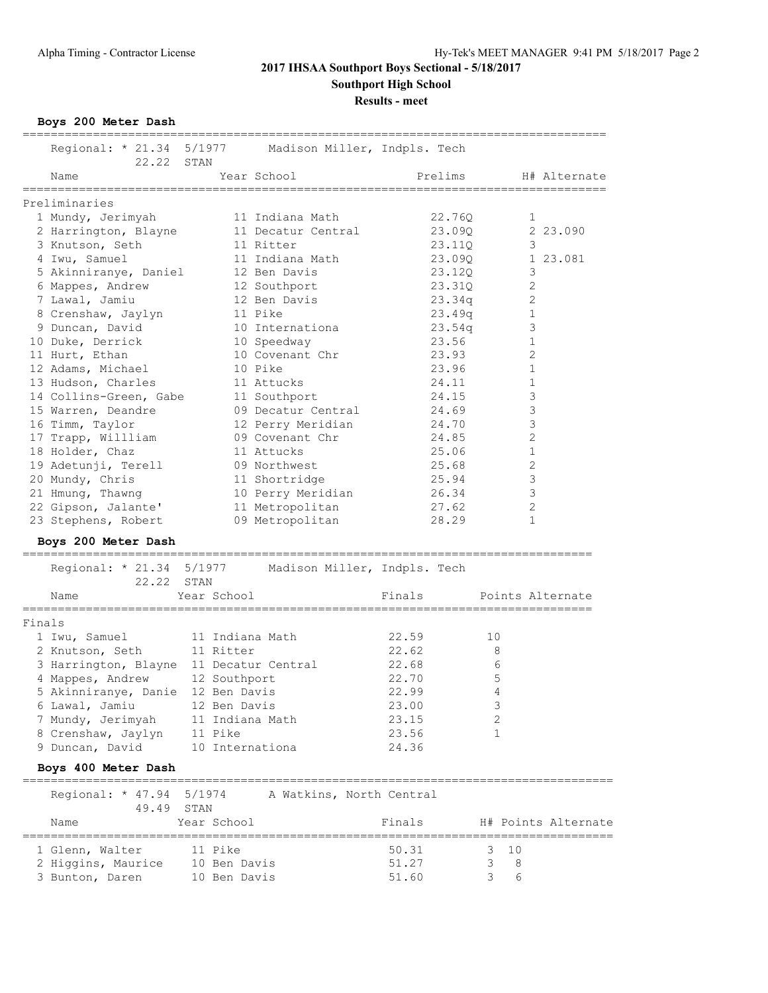**Results - meet**

**Boys 200 Meter Dash**

| Regional: * 21.34 5/1977<br>22.22 STAN                         |                  | Madison Miller, Indpls. Tech              |               |                               |                                                   |
|----------------------------------------------------------------|------------------|-------------------------------------------|---------------|-------------------------------|---------------------------------------------------|
| Name                                                           |                  | Year School<br>-------------------------- | Prelims       |                               | H# Alternate<br>================================= |
| Preliminaries                                                  |                  |                                           |               |                               |                                                   |
| 1 Mundy, Jerimyah                                              |                  | 11 Indiana Math                           |               | 22.760                        | 1                                                 |
| 2 Harrington, Blayne                                           |                  | 11 Decatur Central                        |               | 23.09Q                        | 2 23.090                                          |
| 3 Knutson, Seth                                                |                  | 11 Ritter                                 |               | 23.11Q                        | 3                                                 |
| 4 Iwu, Samuel                                                  |                  | 11 Indiana Math                           |               | 23.09Q                        | 1 23.081                                          |
| 5 Akinniranye, Daniel                                          |                  | 12 Ben Davis                              |               | 23.12Q                        | 3                                                 |
|                                                                |                  | 12 Southport                              |               | 23.31Q                        | 2                                                 |
| 6 Mappes, Andrew<br>7 Lawal, Jamiu                             |                  | 12 Ben Davis                              |               | 23.34q                        | 2                                                 |
|                                                                |                  |                                           |               |                               |                                                   |
| 8 Crenshaw, Jaylyn                                             |                  | 11 Pike                                   |               | 23.49q                        | 1                                                 |
| 9 Duncan, David                                                |                  | 10 Internationa                           |               | 23.54q                        | 3                                                 |
| 10 Duke, Derrick                                               |                  | 10 Speedway                               | 23.56         |                               | 1                                                 |
| 11 Hurt, Ethan                                                 |                  | 10 Covenant Chr                           | 23.93         |                               | 2                                                 |
| 12 Adams, Michael                                              |                  | 10 Pike                                   | 23.96         |                               | 1                                                 |
| 13 Hudson, Charles                                             |                  | 11 Attucks                                | 24.11         |                               | 1                                                 |
| 14 Collins-Green, Gabe                                         |                  | 11 Southport                              | 24.15         |                               | 3                                                 |
| 15 Warren, Deandre                                             |                  | 09 Decatur Central                        | 24.69         |                               | 3                                                 |
| 16 Timm, Taylor                                                |                  | 12 Perry Meridian                         | 24.70         |                               | 3                                                 |
| 17 Trapp, Willliam                                             |                  | 09 Covenant Chr                           | 24.85         |                               | 2                                                 |
| 18 Holder, Chaz                                                |                  | 11 Attucks                                | 25.06         |                               | $\mathbf 1$                                       |
| 19 Adetunji, Terell                                            |                  | 09 Northwest                              | 25.68         |                               | 2                                                 |
| 20 Mundy, Chris                                                |                  | 11 Shortridge                             | 25.94         |                               | 3                                                 |
| 21 Hmung, Thawng                                               |                  | 10 Perry Meridian                         | 26.34         |                               | 3                                                 |
| 22 Gipson, Jalante'                                            |                  | 11 Metropolitan                           | 27.62         |                               | 2                                                 |
| 23 Stephens, Robert                                            |                  | 09 Metropolitan                           | 28.29         |                               | 1                                                 |
|                                                                |                  |                                           |               |                               |                                                   |
| Boys 200 Meter Dash                                            | ================ |                                           |               |                               |                                                   |
| Regional: * 21.34 5/1977 Madison Miller, Indpls. Tech<br>22.22 | STAN             |                                           |               |                               |                                                   |
| Name                                                           | Year School      |                                           | Finals        |                               | Points Alternate                                  |
| ============                                                   | ================ |                                           | ============= |                               | =====================                             |
| Finals                                                         |                  |                                           |               |                               |                                                   |
| 1 Iwu, Samuel                                                  |                  | 11 Indiana Math                           | 22.59         | 10                            |                                                   |
| 2 Knutson, Seth                                                | 11 Ritter        |                                           | 22.62         | 8                             |                                                   |
| 3 Harrington, Blayne 11 Decatur Central                        |                  |                                           | 22.68         | 6                             |                                                   |
| 4 Mappes, Andrew 12 Southport                                  |                  |                                           | 22.70         | 5                             |                                                   |
| 5 Akinniranye, Danie 12 Ben Davis                              |                  |                                           | 22.99         | 4                             |                                                   |
| 6 Lawal, Jamiu                                                 | 12 Ben Davis     |                                           | 23.00         | 3                             |                                                   |
|                                                                |                  | 11 Indiana Math                           | 23.15         | $\overline{c}$                |                                                   |
| 7 Mundy, Jerimyah                                              |                  |                                           |               |                               |                                                   |
| 8 Crenshaw, Jaylyn                                             | 11 Pike          |                                           | 23.56         | $\mathbf{1}$                  |                                                   |
| 9 Duncan, David                                                |                  | 10 Internationa                           | 24.36         |                               |                                                   |
| Boys 400 Meter Dash                                            |                  |                                           |               |                               |                                                   |
| Regional: * 47.94 5/1974<br>49.49 STAN                         |                  | A Watkins, North Central                  |               |                               |                                                   |
| Name                                                           | Year School      |                                           | Finals        |                               | H# Points Alternate                               |
| 1 Glenn, Walter                                                | 11 Pike          |                                           | 50.31         | =================<br>$3 \t10$ |                                                   |
| 2 Higgins, Maurice 10 Ben Davis                                |                  |                                           | 51.27         | 3                             | 8                                                 |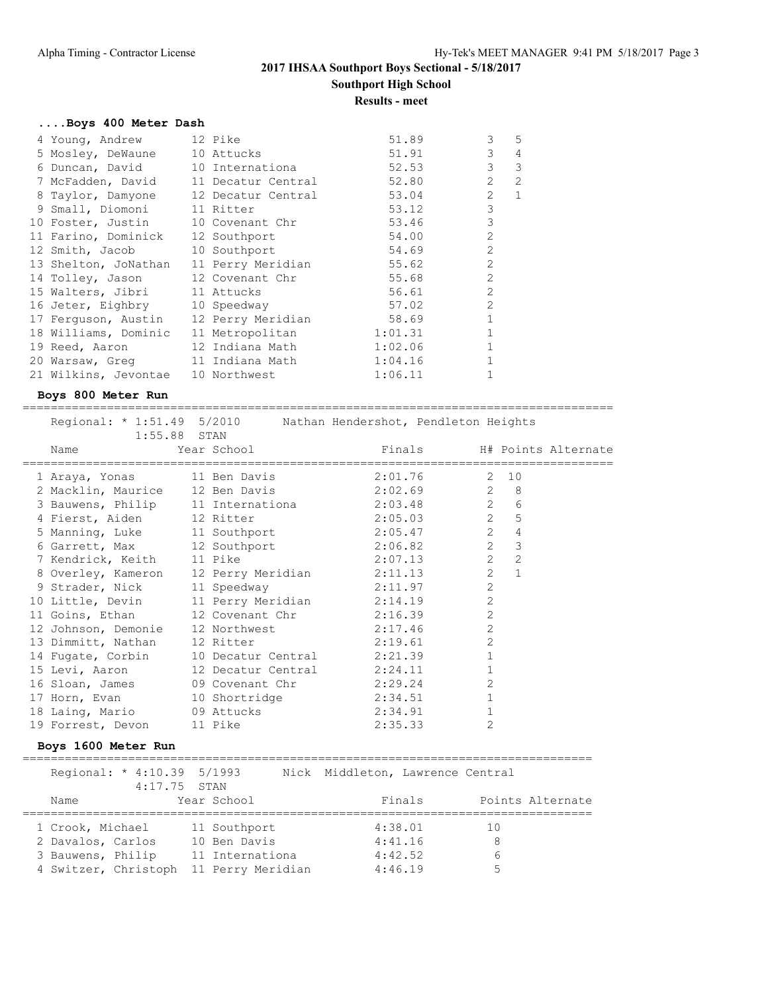**Results - meet**

#### **....Boys 400 Meter Dash**

| 4 Young, Andrew                       | 12 Pike                                   | 51.89   | 3<br>5                           |
|---------------------------------------|-------------------------------------------|---------|----------------------------------|
| 5 Mosley, DeWaune 10 Attucks          |                                           | 51.91   | 3<br>$\overline{4}$              |
| 6 Duncan, David 10 Internationa       |                                           | 52.53   | $\mathcal{E}$<br>$\mathcal{E}$   |
|                                       | 7 McFadden, David 11 Decatur Central      | 52.80   | $\overline{c}$<br>$\overline{2}$ |
|                                       | 8 Taylor, Damyone 12 Decatur Central      | 53.04   | $\overline{1}$<br>$\overline{2}$ |
| 9 Small, Diomoni 11 Ritter            |                                           | 53.12   | 3                                |
| 10 Foster, Justin 10 Covenant Chr     |                                           | 53.46   | 3                                |
| 11 Farino, Dominick 12 Southport      |                                           | 54.00   | $\overline{2}$                   |
| 12 Smith, Jacob 10 Southport          |                                           | 54.69   | $\overline{2}$                   |
| 13 Shelton, JoNathan                  | 11 Perry Meridian                         | 55.62   | $\overline{2}$                   |
| 14 Tolley, Jason                      | 12 Covenant Chr                           | 55.68   | $\overline{2}$                   |
| 15 Walters, Jibri 11 Attucks          |                                           | 56.61   | $\mathfrak{L}$                   |
| 16 Jeter, Eighbry 10 Speedway         |                                           | 57.02   | $\overline{2}$                   |
| 17 Ferguson, Austin 12 Perry Meridian |                                           | 58.69   | $\mathbf{1}$                     |
| 18 Williams, Dominic                  | 11 Metropolitan                           | 1:01.31 |                                  |
| 19 Reed, Aaron                        | 12 Indiana Math                           | 1:02.06 | $\mathbf{1}$                     |
| 20 Warsaw, Greq 11 Indiana Math       |                                           | 1:04.16 | $\mathbf{1}$                     |
|                                       | 21 Wilkins, Jevontae 10 Northwest 1:06.11 |         |                                  |

#### **Boys 800 Meter Run**

==================================================================================== Regional: \* 1:51.49 5/2010 Nathan Hendershot, Pendleton Heights

| $1:55.88$ STAN              |  |                                                  |                |                |  |
|-----------------------------|--|--------------------------------------------------|----------------|----------------|--|
| Name                        |  |                                                  |                |                |  |
|                             |  | 1 Araya, Yonas 11 Ben Davis 2:01.76 2 10         |                |                |  |
|                             |  | 2 Macklin, Maurice 12 Ben Davis 2:02.69 2 8      |                |                |  |
|                             |  | 3 Bauwens, Philip 11 Internationa 2:03.48 2 6    |                |                |  |
|                             |  | 4 Fierst, Aiden 12 Ritter 2:05.03 2 5            |                |                |  |
|                             |  | 5 Manning, Luke 11 Southport 2:05.47 24          |                |                |  |
|                             |  | 6 Garrett, Max 12 Southport 2:06.82 2 3          |                |                |  |
| 7 Kendrick, Keith 11 Pike   |  | $2:07.13$ 2                                      |                | $\overline{2}$ |  |
|                             |  | 8 Overley, Kameron 12 Perry Meridian 2:11.13 2 1 |                |                |  |
| 9 Strader, Nick 11 Speedway |  | 2:11.97                                          | 2              |                |  |
|                             |  | 10 Little, Devin 11 Perry Meridian 2:14.19       | 2              |                |  |
|                             |  | 11 Goins, Ethan 12 Covenant Chr 2:16.39          | 2              |                |  |
|                             |  | 12 Johnson, Demonie 12 Northwest 2:17.46         | $\overline{c}$ |                |  |
|                             |  | 13 Dimmitt, Nathan 12 Ritter 2:19.61             | $\overline{c}$ |                |  |
|                             |  | 14 Fugate, Corbin 10 Decatur Central 2:21.39     |                |                |  |
|                             |  | 15 Levi, Aaron 12 Decatur Central 2:24.11        | $\mathbf{1}$   |                |  |
|                             |  | 16 Sloan, James 09 Covenant Chr 2:29.24          | $\overline{2}$ |                |  |
|                             |  | 17 Horn, Evan 10 Shortridge 2:34.51              |                |                |  |
| 18 Laing, Mario 09 Attucks  |  | 2:34.91                                          |                |                |  |
| 19 Forrest, Devon 11 Pike   |  | 2:35.33                                          | $\overline{2}$ |                |  |

#### **Boys 1600 Meter Run**

================================================================================= Regional: \* 4:10.39 5/1993 Nick Middleton, Lawrence Central 4:17.75 STAN Name Year School Finals Points Alternate ================================================================================= 1 Crook, Michael 11 Southport 4:38.01 10 2 Davalos, Carlos 10 Ben Davis 4:41.16 8 3 Bauwens, Philip 11 Internationa 1:42.52 6 4 Switzer, Christoph 11 Perry Meridian 4:46.19 5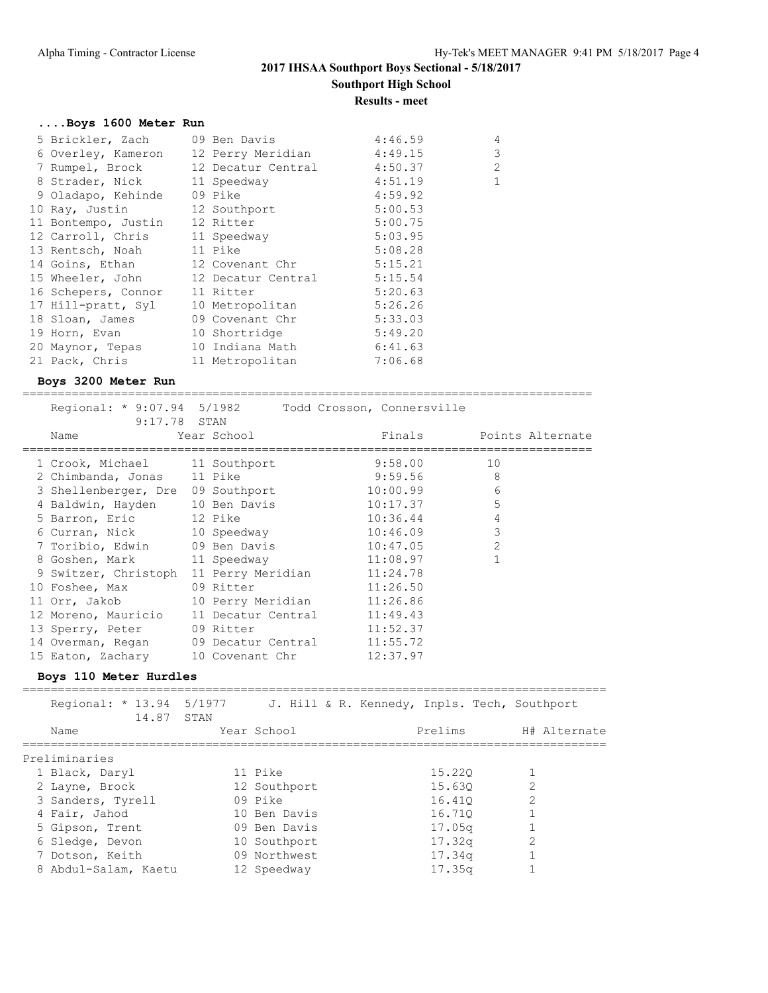#### **Results - meet**

# **....Boys 1600 Meter Run**

| 5 Brickler, Zach    | 09 Ben Davis               | 4:46.59 | $\overline{4}$ |
|---------------------|----------------------------|---------|----------------|
| 6 Overley, Kameron  | 12 Perry Meridian 4:49.15  |         | 3              |
| 7 Rumpel, Brock     | 12 Decatur Central 4:50.37 |         | $\overline{c}$ |
| 8 Strader, Nick     | 11 Speedway                | 4:51.19 | $\mathbf{1}$   |
| 9 Oladapo, Kehinde  | 09 Pike                    | 4:59.92 |                |
| 10 Ray, Justin      | 12 Southport               | 5:00.53 |                |
| 11 Bontempo, Justin | 12 Ritter                  | 5:00.75 |                |
| 12 Carroll, Chris   | 11 Speedway                | 5:03.95 |                |
| 13 Rentsch, Noah    | 11 Pike                    | 5:08.28 |                |
| 14 Goins, Ethan     | 12 Covenant Chr            | 5:15.21 |                |
| 15 Wheeler, John    | 12 Decatur Central         | 5:15.54 |                |
| 16 Schepers, Connor | 11 Ritter                  | 5:20.63 |                |
| 17 Hill-pratt, Syl  | 10 Metropolitan            | 5:26.26 |                |
| 18 Sloan, James     | 09 Covenant Chr            | 5:33.03 |                |
| 19 Horn, Evan       | 10 Shortridge              | 5:49.20 |                |
| 20 Maynor, Tepas    | 10 Indiana Math            | 6:41.63 |                |
| 21 Pack, Chris      | 11 Metropolitan            | 7:06.68 |                |
|                     |                            |         |                |

### **Boys 3200 Meter Run**

================================================================================= Regional: \* 9:07.94 5/1982 Todd Crosson, Connersville

| 1109101101. J.V.J.JI J/IJUL<br>9:17.78 STAN<br>Name | Year School                 | LOUG CLOSSONI COMMOLSVIILE<br>Finals Points Alternate |                |  |
|-----------------------------------------------------|-----------------------------|-------------------------------------------------------|----------------|--|
| 1 Crook, Michael 11 Southport                       |                             | 9:58.00                                               | 10             |  |
| 2 Chimbanda, Jonas 11 Pike                          |                             | 9:59.56                                               | 8              |  |
| 3 Shellenberger, Dre 09 Southport                   |                             | 10:00.99                                              | 6              |  |
| 4 Baldwin, Hayden 10 Ben Davis                      |                             | 10:17.37                                              | 5              |  |
| 5 Barron, Eric 12 Pike                              |                             | 10:36.44                                              | $\overline{4}$ |  |
| 6 Curran, Nick 10 Speedway                          |                             | 10:46.09                                              | 3              |  |
| 7 Toribio, Edwin 09 Ben Davis                       |                             | 10:47.05                                              | $\overline{2}$ |  |
| 8 Goshen, Mark                                      | 11 Speedway                 | 11:08.97                                              |                |  |
| 9 Switzer, Christoph                                | 11 Perry Meridian 11:24.78  |                                                       |                |  |
| 10 Foshee, Max                                      | 09 Ritter                   | 11:26.50                                              |                |  |
| 11 Orr, Jakob                                       | 10 Perry Meridian 11:26.86  |                                                       |                |  |
| 12 Moreno, Mauricio                                 | 11 Decatur Central 11:49.43 |                                                       |                |  |
| 13 Sperry, Peter 09 Ritter                          |                             | 11:52.37                                              |                |  |
| 14 Overman, Regan 09 Decatur Central 11:55.72       |                             |                                                       |                |  |
| 15 Eaton, Zachary 10 Covenant Chr                   |                             | 12:37.97                                              |                |  |
|                                                     |                             |                                                       |                |  |

#### **Boys 110 Meter Hurdles**

| Regional: * 13.94 5/1977<br>14.87 STAN |              | J. Hill & R. Kennedy, Inpls. Tech, Southport |              |
|----------------------------------------|--------------|----------------------------------------------|--------------|
| Name                                   | Year School  | Prelims                                      | H# Alternate |
| Preliminaries                          |              |                                              |              |
| 1 Black, Daryl                         | 11 Pike      | 15.220                                       |              |
| 2 Layne, Brock                         | 12 Southport | 15.630                                       | 2            |
| 3 Sanders, Tyrell                      | 09 Pike      | 16.410                                       |              |
| 4 Fair, Jahod                          | 10 Ben Davis | 16.710                                       |              |
| 5 Gipson, Trent                        | 09 Ben Davis | 17.05 <sub>q</sub>                           |              |
| 6 Sledge, Devon                        | 10 Southport | 17.32q                                       | 2            |
| 7 Dotson, Keith                        | 09 Northwest | 17.34q                                       |              |
| 8 Abdul-Salam, Kaetu                   | 12 Speedway  | 17.35q                                       |              |
|                                        |              |                                              |              |

===================================================================================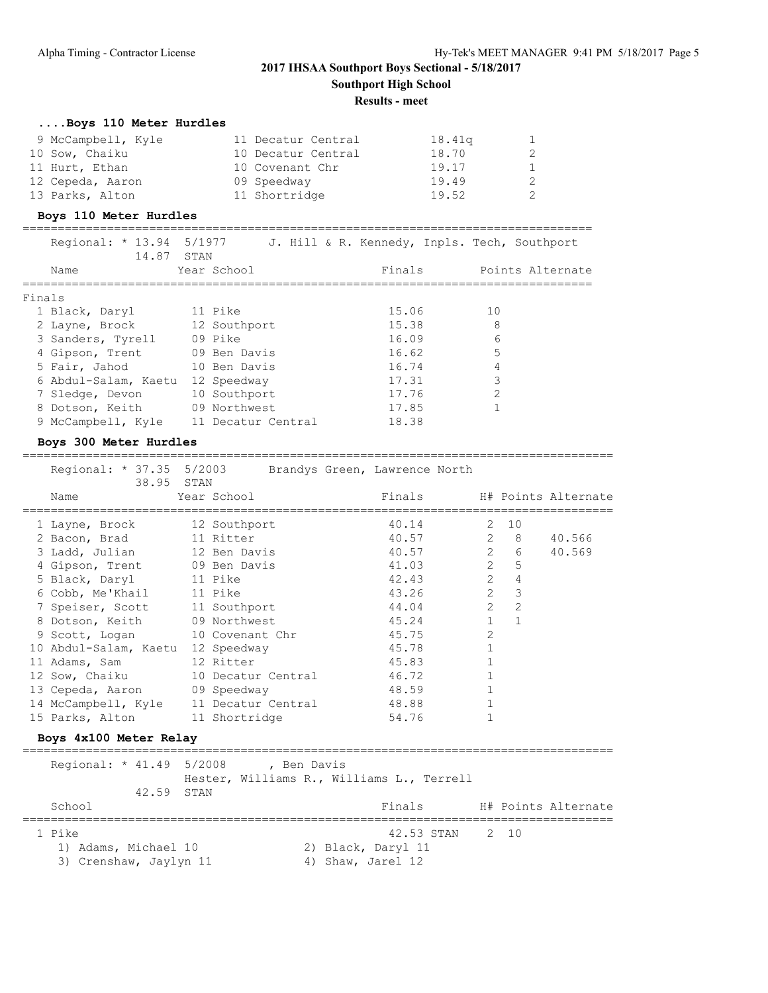### **Results - meet**

## **....Boys 110 Meter Hurdles**

| 9 McCampbell, Kyle | 11 Decatur Central | 18.41q | 1      |
|--------------------|--------------------|--------|--------|
| 10 Sow, Chaiku     | 10 Decatur Central | 18.70  | 2      |
| 11 Hurt, Ethan     | 10 Covenant Chr    | 19.17  | $\sim$ |
| 12 Cepeda, Aaron   | 09 Speedway        | 19.49  | 2      |
| 13 Parks, Alton    | 11 Shortridge      | 19.52  | 2      |

### **Boys 110 Meter Hurdles**

=================================================================================

Regional: \* 13.94 5/1977 J. Hill & R. Kennedy, Inpls. Tech, Southport

| 14.87                | STAN               |        |                  |
|----------------------|--------------------|--------|------------------|
| Name                 | Year School        | Finals | Points Alternate |
| Finals               |                    |        |                  |
| 1 Black, Daryl       | 11 Pike            | 15.06  | 10               |
| 2 Layne, Brock       | 12 Southport       | 15.38  | 8                |
| 3 Sanders, Tyrell    | 09 Pike            | 16.09  | 6                |
| 4 Gipson, Trent      | 09 Ben Davis       | 16.62  | 5                |
| 5 Fair, Jahod        | 10 Ben Davis       | 16.74  | 4                |
| 6 Abdul-Salam, Kaetu | 12 Speedway        | 17.31  | 3                |
| 7 Sledge, Devon      | 10 Southport       | 17.76  | $\mathfrak{D}$   |
| 8 Dotson, Keith      | 09 Northwest       | 17.85  |                  |
| 9 McCampbell, Kyle   | 11 Decatur Central | 18.38  |                  |

#### **Boys 300 Meter Hurdles**

====================================================================================

 Regional: \* 37.35 5/2003 Brandys Green, Lawrence North 38.95 STAN

| Name                                   | Year School        | Finals    |                |                         | H# Points Alternate |
|----------------------------------------|--------------------|-----------|----------------|-------------------------|---------------------|
| 1 Layne, Brock 12 Southport            |                    | 40.14     |                | $2 \quad 10$            |                     |
| 2 Bacon, Brad 11 Ritter                |                    | 40.57     |                | $2 \quad 8$             | 40.566              |
| 3 Ladd, Julian 12 Ben Davis            |                    | 40.57 2 6 |                |                         | 40.569              |
| 4 Gipson, Trent 09 Ben Davis           |                    | 41.03     |                | 2 <sub>5</sub>          |                     |
| 5 Black, Daryl 11 Pike                 |                    | 42.43     | $2^{\circ}$    | $\overline{4}$          |                     |
| 6 Cobb, Me'Khail 11 Pike               |                    | 43.26     | $2^{\circ}$    | $\overline{\mathbf{3}}$ |                     |
| 7 Speiser, Scott 11 Southport          |                    | 44.04     | $\overline{2}$ | 2                       |                     |
| 8 Dotson, Keith 09 Northwest           |                    | 45.24     | $\mathbf{1}$   | $\overline{1}$          |                     |
| 9 Scott, Logan 10 Covenant Chr         |                    | 45.75     | $\overline{2}$ |                         |                     |
| 10 Abdul-Salam, Kaetu 12 Speedway      |                    | 45.78     |                |                         |                     |
| 11 Adams, Sam                          | 12 Ritter          | 45.83     |                |                         |                     |
| 12 Sow, Chaiku                         | 10 Decatur Central | 46.72     |                |                         |                     |
| 13 Cepeda, Aaron 09 Speedway           |                    | 48.59     |                |                         |                     |
| 14 McCampbell, Kyle 11 Decatur Central |                    | 48.88     |                |                         |                     |
| 15 Parks, Alton 11 Shortridge          |                    | 54.76     |                |                         |                     |

# **Boys 4x100 Meter Relay**

====================================================================================  $P^{\text{axi}}$   $\sim$   $\frac{1}{4}$ .49 5/2008 , Ben Davis

| Regional: ^ 41.49 5/2008                                 | 42.59 STAN | , sen Davis<br>Hester, Williams R., Williams L., Terrell |                                         |                 |  |                     |
|----------------------------------------------------------|------------|----------------------------------------------------------|-----------------------------------------|-----------------|--|---------------------|
| School                                                   |            |                                                          | Finals                                  |                 |  | H# Points Alternate |
| 1 Pike<br>1) Adams, Michael 10<br>3) Crenshaw, Jaylyn 11 |            |                                                          | 2) Black, Daryl 11<br>4) Shaw, Jarel 12 | 42.53 STAN 2 10 |  |                     |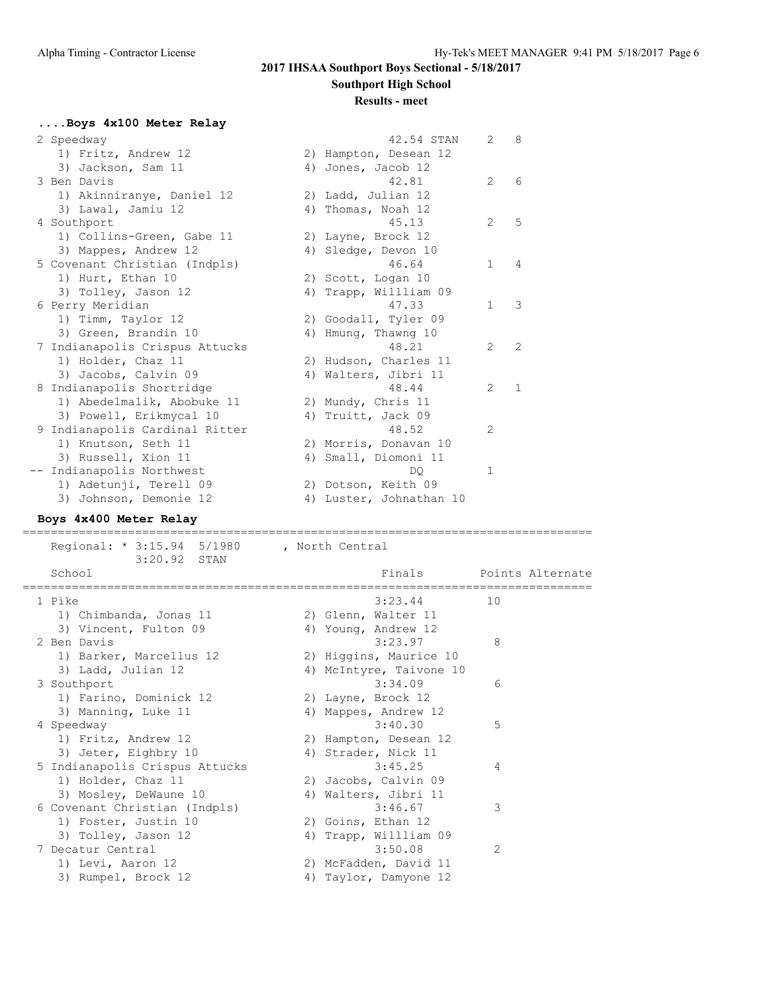# **2017 IHSAA Southport Boys Sectional - 5/18/2017**

**Southport High School**

#### **Results - meet**

#### **....Boys 4x100 Meter Relay**

| 2 Speedway                     | 42.54 STAN              | $\overline{2}$ | 8              |
|--------------------------------|-------------------------|----------------|----------------|
| 1) Fritz, Andrew 12            | 2) Hampton, Desean 12   |                |                |
| 3) Jackson, Sam 11             | 4) Jones, Jacob 12      |                |                |
| 3 Ben Davis                    | 42.81                   | 2              | 6              |
| 1) Akinniranye, Daniel 12      | 2) Ladd, Julian 12      |                |                |
| 3) Lawal, Jamiu 12             | 4) Thomas, Noah 12      |                |                |
| 4 Southport                    | 45.13                   | 2              | $\overline{5}$ |
| 1) Collins-Green, Gabe 11      | 2) Layne, Brock 12      |                |                |
| 3) Mappes, Andrew 12           | 4) Sledge, Devon 10     |                |                |
| 5 Covenant Christian (Indpls)  | 46.64                   | $\mathbf{1}$   | $\overline{4}$ |
| 1) Hurt, Ethan 10              | 2) Scott, Logan 10      |                |                |
| 3) Tolley, Jason 12            | 4) Trapp, Willliam 09   |                |                |
| 6 Perry Meridian               | 47.33                   | $\mathbf{1}$   | 3              |
| 1) Timm, Taylor 12             | 2) Goodall, Tyler 09    |                |                |
| 3) Green, Brandin 10           | 4) Hmung, Thawng 10     |                |                |
| 7 Indianapolis Crispus Attucks | 48.21                   | $\mathcal{L}$  | $\mathcal{L}$  |
| 1) Holder, Chaz 11             | 2) Hudson, Charles 11   |                |                |
| 3) Jacobs, Calvin 09           | 4) Walters, Jibri 11    |                |                |
| 8 Indianapolis Shortridge      | 48.44                   | 2              | 1              |
| 1) Abedelmalik, Abobuke 11     | 2) Mundy, Chris 11      |                |                |
| 3) Powell, Erikmycal 10        | 4) Truitt, Jack 09      |                |                |
| 9 Indianapolis Cardinal Ritter | 48.52                   | 2              |                |
| 1) Knutson, Seth 11            | 2) Morris, Donavan 10   |                |                |
| 3) Russell, Xion 11            | 4) Small, Diomoni 11    |                |                |
| Indianapolis Northwest         | DO.                     | $\mathbf{1}$   |                |
| 1) Adetunji, Terell 09         | 2) Dotson, Keith 09     |                |                |
| 3) Johnson, Demonie 12         | 4) Luster, Johnathan 10 |                |                |

# **Boys 4x400 Meter Relay**

 Regional: \* 3:15.94 5/1980 , North Central 3:20.92 STAN Finals Points Alternate ================================================================================= 1 Pike 3:23.44 10 1) Chimbanda, Jonas 11 2) Glenn, Walter 11 3) Vincent, Fulton 09 (4) Young, Andrew 12 2 Ben Davis 3:23.97 8 1) Barker, Marcellus 12 2) Higgins, Maurice 10 3) Ladd, Julian 12 4) McIntyre, Taivone 10 3 Southport 3:34.09 6 1) Farino, Dominick 12 2) Layne, Brock 12 3) Manning, Luke 11 (4) Mappes, Andrew 12 4 Speedway 3:40.30 5 1) Fritz, Andrew 12 2) Hampton, Desean 12 3) Jeter, Eighbry 10 (4) Strader, Nick 11 5 Indianapolis Crispus Attucks 3:45.25 4 1) Holder, Chaz 11 2) Jacobs, Calvin 09 3) Mosley, DeWaune 10 (4) Walters, Jibri 11 6 Covenant Christian (Indpls) 3:46.67 3 1) Foster, Justin 10 2) Goins, Ethan 12 3) Tolley, Jason 12 4) Trapp, Willliam 09 7 Decatur Central 3:50.08 2 1) Levi, Aaron 12 2) McFadden, David 11 3) Rumpel, Brock 12 4) Taylor, Damyone 12

=================================================================================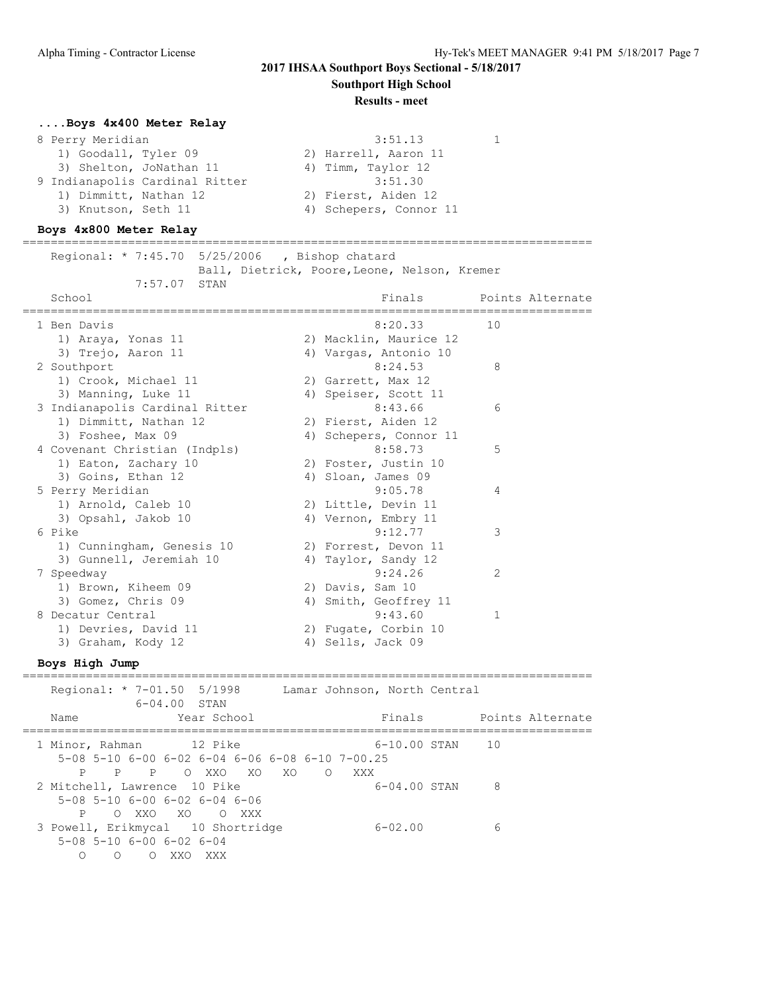# **2017 IHSAA Southport Boys Sectional - 5/18/2017**

**Southport High School**

#### **Results - meet**

# **....Boys 4x400 Meter Relay**

| 8 Perry Meridian               | 3:51.13                |
|--------------------------------|------------------------|
| 1) Goodall, Tyler 09           | 2) Harrell, Aaron 11   |
| 3) Shelton, JoNathan 11        | 4) Timm, Taylor 12     |
| 9 Indianapolis Cardinal Ritter | 3:51.30                |
| 1) Dimmitt, Nathan 12          | 2) Fierst, Aiden 12    |
| 3) Knutson, Seth 11            | 4) Schepers, Connor 11 |

## **Boys 4x800 Meter Relay**

================================================================================= Regional: \* 7:45.70 5/25/2006 , Bishop chatard

Ball, Dietrick, Poore, Leone, Nelson, Kremer

| 7:57.07 STAN                   |    |                        |              |                  |
|--------------------------------|----|------------------------|--------------|------------------|
| School                         |    | Finals                 |              | Points Alternate |
| 1 Ben Davis                    |    | 8:20.33                | 10           |                  |
| 1) Araya, Yonas 11             |    | 2) Macklin, Maurice 12 |              |                  |
| 3) Trejo, Aaron 11             |    | 4) Vargas, Antonio 10  |              |                  |
| 2 Southport                    |    | 8:24.53                | 8            |                  |
| 1) Crook, Michael 11           |    | 2) Garrett, Max 12     |              |                  |
| 3) Manning, Luke 11            |    | 4) Speiser, Scott 11   |              |                  |
| 3 Indianapolis Cardinal Ritter |    | 8:43.66                | 6            |                  |
| 1) Dimmitt, Nathan 12          |    | 2) Fierst, Aiden 12    |              |                  |
| 3) Foshee, Max 09              |    | 4) Schepers, Connor 11 |              |                  |
| 4 Covenant Christian (Indpls)  |    | 8:58.73                | 5            |                  |
| 1) Eaton, Zachary 10           |    | 2) Foster, Justin 10   |              |                  |
| 3) Goins, Ethan 12             |    | 4) Sloan, James 09     |              |                  |
| 5 Perry Meridian               |    | 9:05.78                | 4            |                  |
| 1) Arnold, Caleb 10            |    | 2) Little, Devin 11    |              |                  |
| 3) Opsahl, Jakob 10            |    | 4) Vernon, Embry 11    |              |                  |
| 6 Pike                         |    | 9:12.77                | 3            |                  |
| 1) Cunningham, Genesis 10      |    | 2) Forrest, Devon 11   |              |                  |
| 3) Gunnell, Jeremiah 10        |    | 4) Taylor, Sandy 12    |              |                  |
| 7 Speedway                     |    | 9:24.26                | 2            |                  |
| 1) Brown, Kiheem 09            |    | 2) Davis, Sam 10       |              |                  |
| 3) Gomez, Chris 09             |    | 4) Smith, Geoffrey 11  |              |                  |
| 8 Decatur Central              |    | 9:43.60                | $\mathbf{1}$ |                  |
| 1) Devries, David 11           |    | 2) Fugate, Corbin 10   |              |                  |
| 3) Graham, Kody 12             | 4) | Sells, Jack 09         |              |                  |
|                                |    |                        |              |                  |

**Boys High Jump**

| Regional: * 7-01.50 5/1998                                                                     | $6 - 04.00$ STAN  |                |     |       | Lamar Johnson, North Central |   |                  |
|------------------------------------------------------------------------------------------------|-------------------|----------------|-----|-------|------------------------------|---|------------------|
| Name                                                                                           |                   | Year School    |     |       | Finals                       |   | Points Alternate |
| 1 Minor, Rahman 12 Pike<br>$5-08$ $5-10$ $6-00$ $6-02$ $6-04$ $6-06$ $6-08$ $6-10$ $7-00$ , 25 |                   | PPP OXXOXO     | XO. | O XXX | 6-10.00 STAN 10              |   |                  |
| 2 Mitchell, Lawrence 10 Pike<br>$5-08$ 5-10 6-00 6-02 6-04 6-06                                |                   | P OXXO XO OXXX |     |       | $6 - 04.00$ STAN             | 8 |                  |
| 3 Powell, Erikmycal 10 Shortridge<br>$5-08$ 5-10 6-00 6-02 6-04<br>∩<br>$\bigcirc$             | XXO<br>$\bigcirc$ | XXX            |     |       | $6 - 02.00$                  | 6 |                  |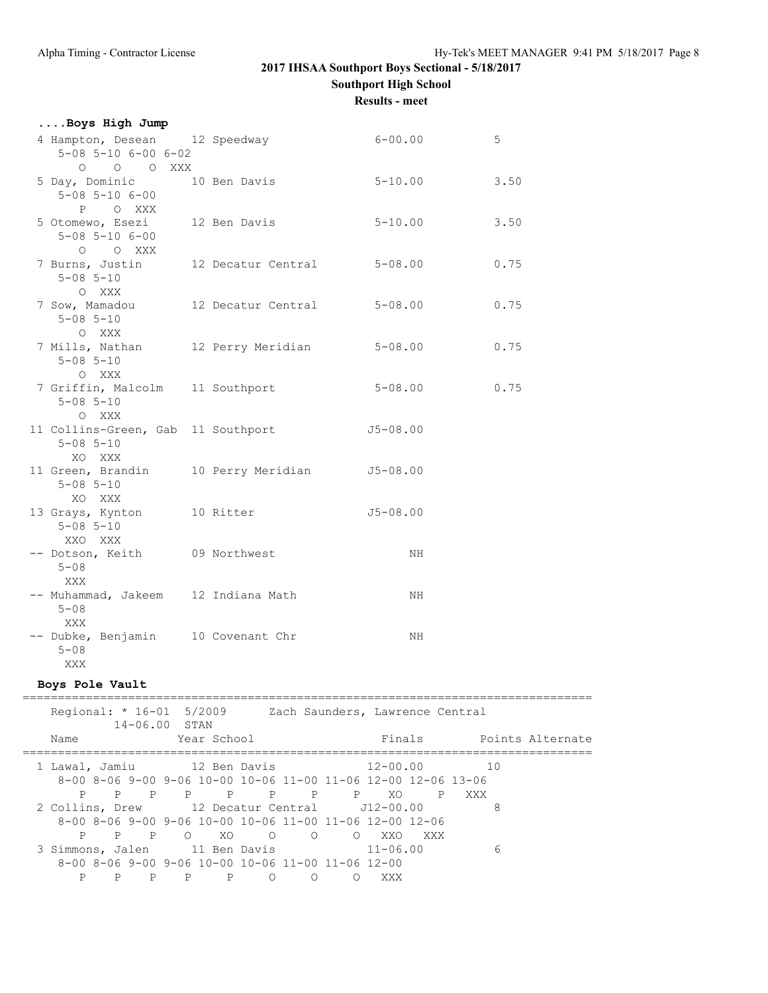**....Boys High Jump**

# **2017 IHSAA Southport Boys Sectional - 5/18/2017 Southport High School**

**Results - meet**

| 4 Hampton, Desean 12 Speedway<br>$5 - 08$ $5 - 10$ $6 - 00$ $6 - 02$                                    |                            | $6 - 00.00$                                                                   | $\overline{5}$ |  |
|---------------------------------------------------------------------------------------------------------|----------------------------|-------------------------------------------------------------------------------|----------------|--|
| 0 0 0 XXX<br>5 Day, Dominic 10 Ben Davis<br>$5 - 08$ $5 - 10$ $6 - 00$                                  |                            | $5 - 10.00$                                                                   | 3.50           |  |
| P O XXX<br>5 Otomewo, Esezi 12 Ben Davis<br>$5 - 08$ $5 - 10$ $6 - 00$                                  |                            | $5 - 10.00$                                                                   | 3.50           |  |
| O O XXX<br>7 Burns, Justin<br>$5 - 08$ $5 - 10$                                                         |                            | 12 Decatur Central 5-08.00                                                    | 0.75           |  |
| O XXX<br>7 Sow, Mamadou<br>$5 - 08$ $5 - 10$                                                            | 12 Decatur Central 5-08.00 |                                                                               | 0.75           |  |
| O XXX<br>7 Mills, Nathan 12 Perry Meridian<br>$5 - 08$ $5 - 10$<br>O XXX                                |                            | $5 - 08.00$                                                                   | 0.75           |  |
| 7 Griffin, Malcolm 11 Southport<br>$5 - 08$ $5 - 10$<br>O XXX                                           |                            | $5 - 08.00$                                                                   | 0.75           |  |
| 11 Collins-Green, Gab 11 Southport 5-08.00<br>$5 - 08$ $5 - 10$<br>XO XXX                               |                            |                                                                               |                |  |
| 11 Green, Brandin<br>$5 - 08$ $5 - 10$<br>XO XXX                                                        | 10 Perry Meridian J5-08.00 |                                                                               |                |  |
| 13 Grays, Kynton 10 Ritter<br>$5 - 08$ $5 - 10$<br>XXO XXX                                              |                            | $J5 - 08.00$                                                                  |                |  |
| -- Dotson, Keith 09 Northwest<br>$5 - 08$<br>XXX                                                        |                            | NH                                                                            |                |  |
| -- Muhammad, Jakeem 12 Indiana Math<br>$5 - 08$<br>XXX                                                  |                            | NH                                                                            |                |  |
| -- Dubke, Benjamin 10 Covenant Chr<br>$5 - 08$<br>XXX                                                   |                            | NH                                                                            |                |  |
| Boys Pole Vault                                                                                         |                            |                                                                               |                |  |
| 14-06.00 STAN                                                                                           |                            | Regional: * 16-01 5/2009 Zach Saunders, Lawrence Central                      |                |  |
| Name                                                                                                    | Year School                | Finals Points Alternate                                                       |                |  |
| 1 Lawal, Jamiu 12 Ben Davis                                                                             |                            | $12 - 00.00$<br>8-00 8-06 9-00 9-06 10-00 10-06 11-00 11-06 12-00 12-06 13-06 | 10             |  |
| 2 Collins, Drew 12 Decatur Central 112-00.00<br>8-00 8-06 9-00 9-06 10-00 10-06 11-00 11-06 12-00 12-06 |                            | P P P P P P P P XO P XXX                                                      | 8              |  |
| 3 Simmons, Jalen 11 Ben Davis 11-06.00                                                                  |                            | P P P O XO O O O XXO XXX                                                      | 6              |  |

 8-00 8-06 9-00 9-06 10-00 10-06 11-00 11-06 12-00 P P P P P O O O XXX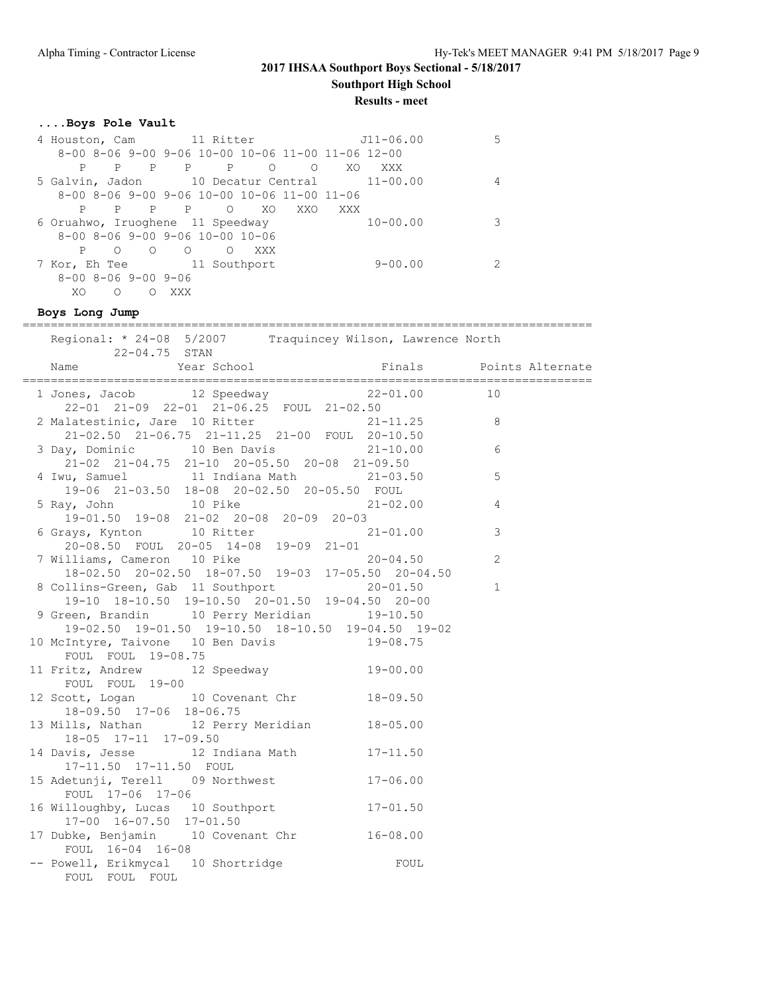**Results - meet**

#### **....Boys Pole Vault**

| 4 Houston, Cam 11 Ritter            |                                                                     | $J11 - 06.00$         |   |
|-------------------------------------|---------------------------------------------------------------------|-----------------------|---|
|                                     | $8-00$ $8-06$ $9-00$ $9-06$ $10-00$ $10-06$ $11-00$ $11-06$ $12-00$ |                       |   |
| Ρ<br>P<br>P                         | $\mathbf{P}$<br>$\mathbb{P}$<br>$\Omega$                            | XO<br>$\Omega$<br>XXX |   |
|                                     | 5 Galvin, Jadon 10 Decatur Central 11-00.00                         |                       | 4 |
|                                     | $8-00$ $8-06$ $9-00$ $9-06$ $10-00$ $10-06$ $11-00$ $11-06$         |                       |   |
| P<br>P<br>P                         | XO<br>P<br>$\Omega$                                                 | XXO<br>XXX            |   |
| 6 Oruahwo, Iruoghene 11 Speedway    |                                                                     | $10 - 00.00$          | 3 |
|                                     | $8-00$ $8-06$ $9-00$ $9-06$ $10-00$ $10-06$                         |                       |   |
| $\circ$<br>$\Omega$<br>P            | $\circ$<br>XXX<br>$\circ$                                           |                       |   |
|                                     | 7 Kor, Eh Tee 11 Southport                                          | $9 - 00.00$           |   |
| $8 - 00$ $8 - 06$ $9 - 00$ $9 - 06$ |                                                                     |                       |   |
| XO<br>Ω<br>$\left($                 | XXX                                                                 |                       |   |

#### **Boys Long Jump**

================================================================================= Regional: \* 24-08 5/2007 Traquincey Wilson, Lawrence North 22-04.75 STAN Name Year School Finals Points Alternate ================================================================================= 1 Jones, Jacob 12 Speedway 22-01.00 10 22-01 21-09 22-01 21-06.25 FOUL 21-02.50 2 Malatestinic, Jare 10 Ritter 21-11.25 8 21-02.50 21-06.75 21-11.25 21-00 FOUL 20-10.50 3 Day, Dominic 10 Ben Davis 21-10.00 6 21-02 21-04.75 21-10 20-05.50 20-08 21-09.50 4 Iwu, Samuel 11 Indiana Math 21-03.50 5 19-06 21-03.50 18-08 20-02.50 20-05.50 FOUL 5 Ray, John 10 Pike 21-02.00 4 19-01.50 19-08 21-02 20-08 20-09 20-03 6 Grays, Kynton 10 Ritter 21-01.00 3 20-08.50 FOUL 20-05 14-08 19-09 21-01 7 Williams, Cameron 10 Pike 20-04.50 2 18-02.50 20-02.50 18-07.50 19-03 17-05.50 20-04.50 8 Collins-Green, Gab 11 Southport 20-01.50 1 19-10 18-10.50 19-10.50 20-01.50 19-04.50 20-00 9 Green, Brandin 10 Perry Meridian 19-10.50 19-02.50 19-01.50 19-10.50 18-10.50 19-04.50 19-02 10 McIntyre, Taivone 10 Ben Davis 19-08.75 FOUL FOUL 19-08.75 11 Fritz, Andrew 12 Speedway 19-00.00 FOUL FOUL 19-00 12 Scott, Logan 10 Covenant Chr 18-09.50 18-09.50 17-06 18-06.75 13 Mills, Nathan 12 Perry Meridian 18-05.00 18-05 17-11 17-09.50 14 Davis, Jesse 12 Indiana Math 17-11.50 17-11.50 17-11.50 FOUL 15 Adetunji, Terell 09 Northwest 17-06.00 FOUL 17-06 17-06 16 Willoughby, Lucas 10 Southport 17-01.50 17-00 16-07.50 17-01.50 17 Dubke, Benjamin 10 Covenant Chr 16-08.00 FOUL 16-04 16-08 -- Powell, Erikmycal 10 Shortridge FOUL FOUL FOUL FOUL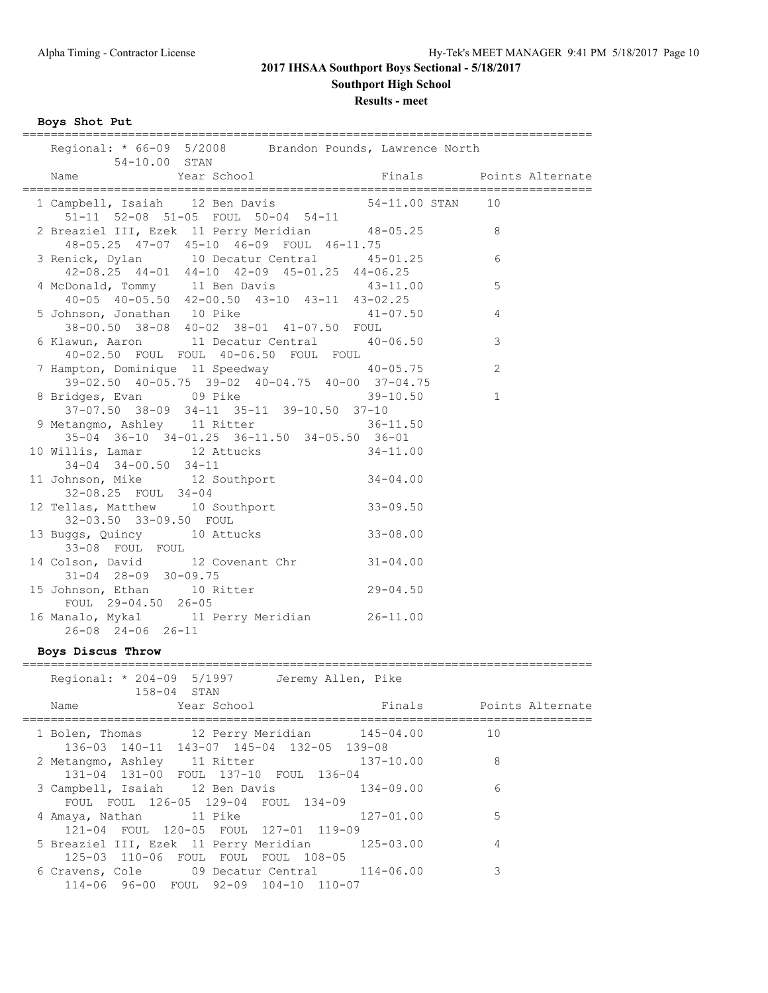**Results - meet**

**Boys Shot Put**

| Regional: * 66-09 5/2008 Brandon Pounds, Lawrence North<br>54-10.00 STAN                                                    |              |                         |
|-----------------------------------------------------------------------------------------------------------------------------|--------------|-------------------------|
| Year School<br>Name                                                                                                         |              | Finals Points Alternate |
| 1 Campbell, Isaiah 12 Ben Davis 54-11.00 STAN<br>51-11 52-08 51-05 FOUL 50-04 54-11                                         |              | 10                      |
| 2 Breaziel III, Ezek 11 Perry Meridian 48-05.25<br>48-05.25 47-07 45-10 46-09 FOUL 46-11.75                                 |              | 8                       |
| 3 Renick, Dylan 10 Decatur Central 45-01.25<br>42-08.25 44-01 44-10 42-09 45-01.25 44-06.25                                 |              | 6                       |
| 4 McDonald, Tommy 11 Ben Davis 43-11.0<br>40-05 40-05.50 42-00.50 43-10 43-11 43-02.25                                      | $43 - 11.00$ | 5                       |
| 5 Johnson, Jonathan 10 Pike 41-<br>38-00.50 38-08 40-02 38-01 41-07.50 FOUL                                                 | $41 - 07.50$ | 4                       |
| 6 Klawun, Aaron 11 Decatur Central 40-06.50<br>40-02.50 FOUL FOUL 40-06.50 FOUL FOUL                                        |              | 3                       |
| 7 Hampton, Dominique 11 Speedway 10-05.75<br>39-02.50 40-05.75 39-02 40-04.75 40-00 37-04.75                                |              | $\overline{2}$          |
| 8 Bridges, Evan 09 Pike 39-10.50<br>37-07.50 38-09 34-11 35-11 39-10.50 37-10                                               |              | $\mathbf 1$             |
| 9 Metangmo, Ashley 11 Ritter<br>35-04 36-10 34-01.25 36-11.50 34-05.50 36-01                                                | $36 - 11.50$ |                         |
| 10 Willis, Lamar 12 Attucks 34-11.00<br>$34-04$ $34-00.50$ $34-11$                                                          |              |                         |
| 11 Johnson, Mike 12 Southport 34-04.00<br>32-08.25 FOUL 34-04                                                               |              |                         |
| 12 Tellas, Matthew 10 Southport 33-09.50<br>32-03.50 33-09.50 FOUL<br>32-03.30 33-09.30 FOOL<br>13 Buggs, Quincy 10 Attucks |              |                         |
| 33-08 FOUL FOUL                                                                                                             | $33 - 08.00$ |                         |
| 14 Colson, David 12 Covenant Chr 31-04.00<br>$31 - 04$ $28 - 09$ $30 - 09.75$<br>15 Johnson, Ethan 10 Ritter 29-04.50       |              |                         |
| FOUL 29-04.50 26-05                                                                                                         |              |                         |
| 16 Manalo, Mykal 11 Perry Meridian 26-11.00<br>$26 - 08$ 24-06 26-11                                                        |              |                         |
| Boys Discus Throw                                                                                                           |              |                         |

| Regional: * 204-09 5/1997 Jeremy Allen, Pike<br>$158 - 04$ STAN                                                                |                         |
|--------------------------------------------------------------------------------------------------------------------------------|-------------------------|
| Year School<br>Name and the state of the state of the state of the state of the state of the state of the state of the state o | Finals Points Alternate |
| 1 Bolen, Thomas 12 Perry Meridian 145-04.00<br>136-03 140-11 143-07 145-04 132-05 139-08                                       | 10                      |
| 2 Metangmo, Ashley 11 Ritter<br>$137 - 10.00$<br>131-04 131-00 FOUL 137-10 FOUL 136-04                                         | 8                       |
| 3 Campbell, Isaiah 12 Ben Davis 134-09.00<br>FOUL FOUL 126-05 129-04 FOUL 134-09                                               | 6                       |
| 4 Amaya, Nathan 11 Pike<br>$127 - 01.00$<br>121-04 FOUL 120-05 FOUL 127-01 119-09                                              | 5                       |
| 5 Breaziel III, Ezek 11 Perry Meridian 125-03.00<br>125-03 110-06 FOUL FOUL FOUL 108-05                                        | 4                       |
| 6 Cravens, Cole 09 Decatur Central 114-06.00<br>114-06 96-00 FOUL 92-09 104-10 110-07                                          | 3                       |